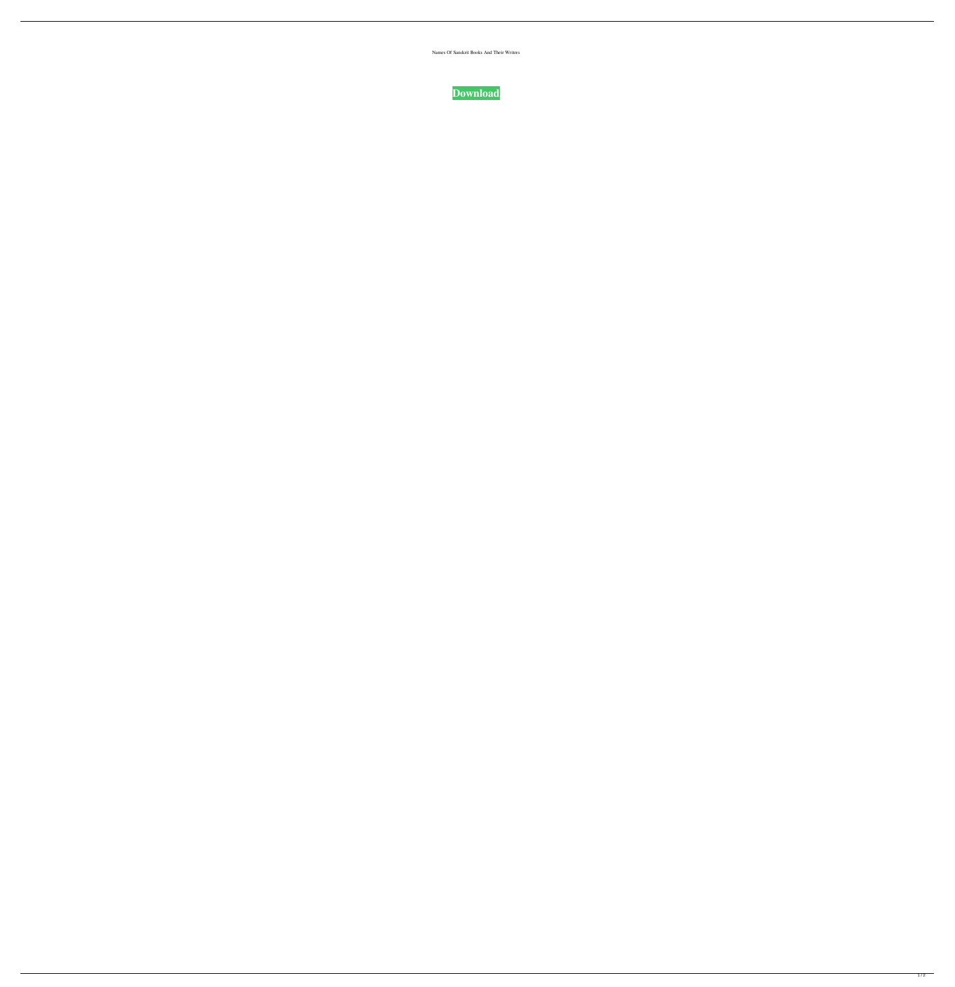Names Of Sanskrit Books And Their Writers



 $\overline{1/2}$